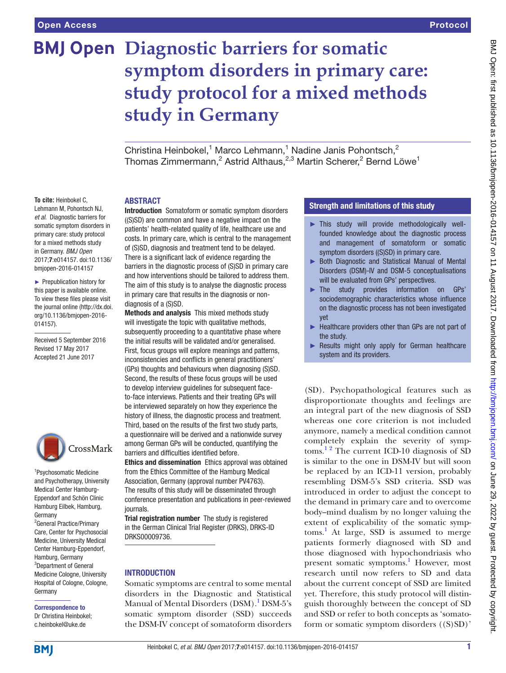**To cite:** Heinbokel C, Lehmann M, Pohontsch NJ, *et al*. Diagnostic barriers for somatic symptom disorders in primary care: study protocol for a mixed methods study in Germany. *BMJ Open* 2017;7:e014157. doi:10.1136/ bmjopen-2016-014157 ► Prepublication history for this paper is available online. To view these files please visit the journal online [\(http://dx.doi.](http://dx.doi.org/10.1136/bmjopen-2016-014157) [org/10.1136/bmjopen-2016-](http://dx.doi.org/10.1136/bmjopen-2016-014157)

[014157\)](http://dx.doi.org/10.1136/bmjopen-2016-014157).

Received 5 September 2016 Revised 17 May 2017 Accepted 21 June 2017

# **BMJ Open Diagnostic barriers for somatic symptom disorders in primary care: study protocol for a mixed methods study in Germany**

Christina Heinbokel,<sup>1</sup> Marco Lehmann,<sup>1</sup> Nadine Janis Pohontsch,<sup>2</sup> Thomas Zimmermann,<sup>2</sup> Astrid Althaus,<sup>2,3</sup> Martin Scherer,<sup>2</sup> Bernd Löwe<sup>1</sup>

### **ABSTRACT**

Introduction Somatoform or somatic symptom disorders ((S)SD) are common and have a negative impact on the patients' health-related quality of life, healthcare use and costs. In primary care, which is central to the management of (S)SD, diagnosis and treatment tend to be delayed. There is a significant lack of evidence regarding the barriers in the diagnostic process of (S)SD in primary care and how interventions should be tailored to address them. The aim of this study is to analyse the diagnostic process in primary care that results in the diagnosis or nondiagnosis of a (S)SD.

Methods and analysis This mixed methods study will investigate the topic with qualitative methods, subsequently proceeding to a quantitative phase where the initial results will be validated and/or generalised. First, focus groups will explore meanings and patterns, inconsistencies and conflicts in general practitioners' (GPs) thoughts and behaviours when diagnosing (S)SD. Second, the results of these focus groups will be used to develop interview guidelines for subsequent faceto-face interviews. Patients and their treating GPs will be interviewed separately on how they experience the history of illness, the diagnostic process and treatment. Third, based on the results of the first two study parts, a questionnaire will be derived and a nationwide survey among German GPs will be conducted, quantifying the barriers and difficulties identified before.

Ethics and dissemination Ethics approval was obtained from the Ethics Committee of the Hamburg Medical Association, Germany (approval number PV4763). The results of this study will be disseminated through conference presentation and publications in peer-reviewed journals.

**Trial registration number** The study is registered in the German Clinical Trial Register (DRKS), DRKS-ID DRKS00009736.

### **INTRODUCTION**

Somatic symptoms are central to some mental disorders in the Diagnostic and Statistical Manual of Mental Disorders (DSM).<sup>[1](#page-4-0)</sup> DSM-5's somatic symptom disorder (SSD) succeeds the DSM-IV concept of somatoform disorders

### Strength and limitations of this study

- ► This study will provide methodologically wellfounded knowledge about the diagnostic process and management of somatoform or somatic symptom disorders ((S)SD) in primary care.
- ► Both Diagnostic and Statistical Manual of Mental Disorders (DSM)-IV and DSM-5 conceptualisations will be evaluated from GPs' perspectives.
- ► The study provides information on GPs' sociodemographic characteristics whose influence on the diagnostic process has not been investigated yet
- ► Healthcare providers other than GPs are not part of the study.
- ► Results might only apply for German healthcare system and its providers.

(SD). Psychopathological features such as disproportionate thoughts and feelings are an integral part of the new diagnosis of SSD whereas one core criterion is not included anymore, namely a medical condition cannot completely explain the severity of symptoms.[1 2](#page-4-0) The current ICD-10 diagnosis of SD is similar to the one in DSM-IV but will soon be replaced by an ICD-11 version, probably resembling DSM-5's SSD criteria. SSD was introduced in order to adjust the concept to the demand in primary care and to overcome body–mind dualism by no longer valuing the extent of explicability of the somatic symp-toms.<sup>[1](#page-4-0)</sup> At large, SSD is assumed to merge patients formerly diagnosed with SD and those diagnosed with hypochondriasis who present somatic symptoms.<sup>[1](#page-4-0)</sup> However, most research until now refers to SD and data about the current concept of SSD are limited yet. Therefore, this study protocol will distinguish thoroughly between the concept of SD and SSD or refer to both concepts as 'somatoform or somatic symptom disorders ((S)SD)'

and Psychotherapy, University Medical Center Hamburg-Eppendorf and Schön Clinic Hamburg Eilbek, Hamburg,

Germany

1 Psychosomatic Medicine

CrossMark

<sup>2</sup>General Practice/Primary Care, Center for Psychosocial Medicine, University Medical Center Hamburg-Eppendorf, Hamburg, Germany 3 Department of General Medicine Cologne, University Hospital of Cologne, Cologne, Germany

### Correspondence to

Dr Christina Heinbokel; c.heinbokel@uke.de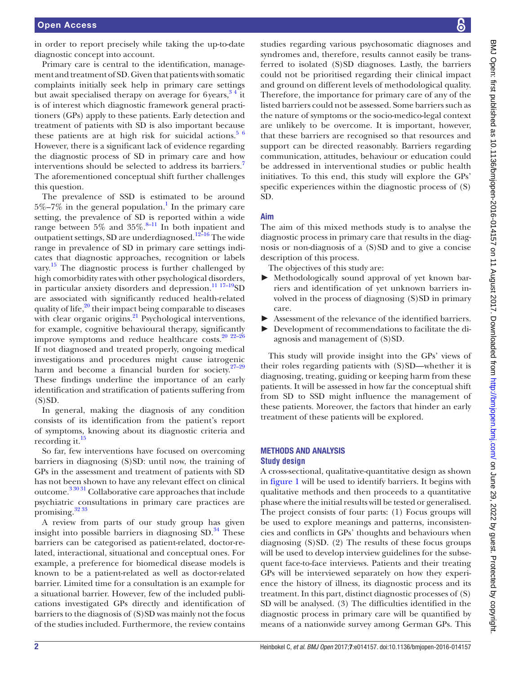in order to report precisely while taking the up-to-date diagnostic concept into account.

Primary care is central to the identification, management and treatment of SD. Given that patients with somatic complaints initially seek help in primary care settings but await specialised therapy on average for 6years,<sup>34</sup> it is of interest which diagnostic framework general practitioners (GPs) apply to these patients. Early detection and treatment of patients with SD is also important because these patients are at high risk for suicidal actions. $56$ However, there is a significant lack of evidence regarding the diagnostic process of SD in primary care and how interventions should be selected to address its barriers.<sup>[7](#page-4-3)</sup> The aforementioned conceptual shift further challenges this question.

The prevalence of SSD is estimated to be around  $5\% - 7\%$  in the general population.<sup>[1](#page-4-0)</sup> In the primary care setting, the prevalence of SD is reported within a wide range between 5% and  $35\%$ .<sup>[8–11](#page-4-4)</sup> In both inpatient and outpatient settings, SD are underdiagnosed.<sup>12–16</sup> The wide range in prevalence of SD in primary care settings indicates that diagnostic approaches, recognition or labels vary.<sup>15</sup> The diagnostic process is further challenged by high comorbidity rates with other psychological disorders, in particular anxiety disorders and depression. $^{11}$   $^{17-19}$ SD are associated with significantly reduced health-related quality of life, $^{20}$  their impact being comparable to diseases with clear organic origins.<sup>21</sup> Psychological interventions, for example, cognitive behavioural therapy, significantly improve symptoms and reduce healthcare costs. $20$   $22-26$ If not diagnosed and treated properly, ongoing medical investigations and procedures might cause iatrogenic harm and become a financial burden for society. $27-29$ These findings underline the importance of an early identification and stratification of patients suffering from  $(S)SD.$ 

In general, making the diagnosis of any condition consists of its identification from the patient's report of symptoms, knowing about its diagnostic criteria and recording it.<sup>[15](#page-5-0)</sup>

So far, few interventions have focused on overcoming barriers in diagnosing (S)SD: until now, the training of GPs in the assessment and treatment of patients with SD has not been shown to have any relevant effect on clinical outcome[.3 30 31](#page-4-1) Collaborative care approaches that include psychiatric consultations in primary care practices are promising. $32\frac{33}{2}$ 

A review from parts of our study group has given insight into possible barriers in diagnosing  $SD<sup>34</sup>$  $SD<sup>34</sup>$  $SD<sup>34</sup>$ . These barriers can be categorised as patient-related, doctor-related, interactional, situational and conceptual ones. For example, a preference for biomedical disease models is known to be a patient-related as well as doctor-related barrier. Limited time for a consultation is an example for a situational barrier. However, few of the included publications investigated GPs directly and identification of barriers to the diagnosis of (S)SD was mainly not the focus of the studies included. Furthermore, the review contains

studies regarding various psychosomatic diagnoses and syndromes and, therefore, results cannot easily be transferred to isolated (S)SD diagnoses. Lastly, the barriers could not be prioritised regarding their clinical impact and ground on different levels of methodological quality. Therefore, the importance for primary care of any of the listed barriers could not be assessed. Some barriers such as the nature of symptoms or the socio-medico-legal context are unlikely to be overcome. It is important, however, that these barriers are recognised so that resources and support can be directed reasonably. Barriers regarding communication, attitudes, behaviour or education could be addressed in interventional studies or public health initiatives. To this end, this study will explore the GPs' specific experiences within the diagnostic process of (S) SD.

### Aim

The aim of this mixed methods study is to analyse the diagnostic process in primary care that results in the diagnosis or non-diagnosis of a (S)SD and to give a concise description of this process.

The objectives of this study are:

- ► Methodologically sound approval of yet known barriers and identification of yet unknown barriers involved in the process of diagnosing (S)SD in primary care.
- ► Assessment of the relevance of the identified barriers.
- ► Development of recommendations to facilitate the diagnosis and management of (S)SD.

This study will provide insight into the GPs' views of their roles regarding patients with (S)SD—whether it is diagnosing, treating, guiding or keeping harm from these patients. It will be assessed in how far the conceptual shift from SD to SSD might influence the management of these patients. Moreover, the factors that hinder an early treatment of these patients will be explored.

### Methods and analysis **Study design**

A cross-sectional, qualitative-quantitative design as shown in [figure](#page-2-0) 1 will be used to identify barriers. It begins with qualitative methods and then proceeds to a quantitative phase where the initial results will be tested or generalised. The project consists of four parts: (1) Focus groups will be used to explore meanings and patterns, inconsistencies and conflicts in GPs' thoughts and behaviours when diagnosing (S)SD. (2) The results of these focus groups will be used to develop interview guidelines for the subsequent face-to-face interviews. Patients and their treating GPs will be interviewed separately on how they experience the history of illness, its diagnostic process and its treatment. In this part, distinct diagnostic processes of (S) SD will be analysed. (3) The difficulties identified in the diagnostic process in primary care will be quantified by means of a nationwide survey among German GPs. This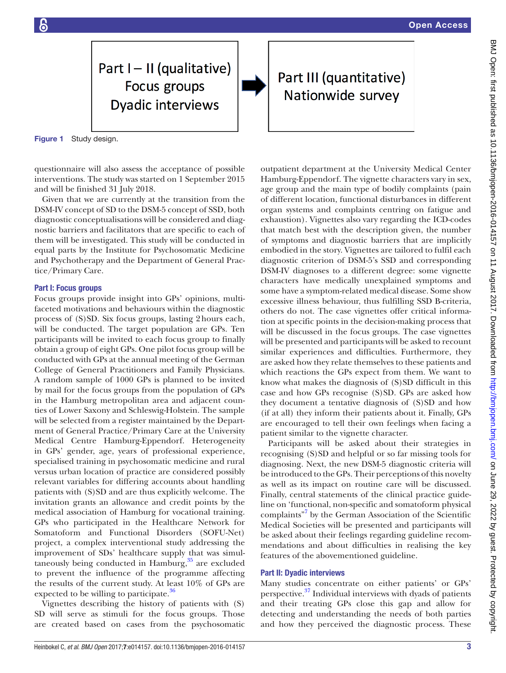## <span id="page-2-0"></span>Part I-II (qualitative) Focus groups **Dyadic interviews**

Figure 1 Study design.

questionnaire will also assess the acceptance of possible interventions. The study was started on 1 September 2015 and will be finished 31 July 2018.

Given that we are currently at the transition from the DSM-IV concept of SD to the DSM-5 concept of SSD, both diagnostic conceptualisations will be considered and diagnostic barriers and facilitators that are specific to each of them will be investigated. This study will be conducted in equal parts by the Institute for Psychosomatic Medicine and Psychotherapy and the Department of General Practice/Primary Care.

### Part I: Focus groups

Focus groups provide insight into GPs' opinions, multifaceted motivations and behaviours within the diagnostic process of (S)SD. Six focus groups, lasting 2hours each, will be conducted. The target population are GPs. Ten participants will be invited to each focus group to finally obtain a group of eight GPs. One pilot focus group will be conducted with GPs at the annual meeting of the German College of General Practitioners and Family Physicians. A random sample of 1000 GPs is planned to be invited by mail for the focus groups from the population of GPs in the Hamburg metropolitan area and adjacent counties of Lower Saxony and Schleswig-Holstein. The sample will be selected from a register maintained by the Department of General Practice/Primary Care at the University Medical Centre Hamburg-Eppendorf. Heterogeneity in GPs' gender, age, years of professional experience, specialised training in psychosomatic medicine and rural versus urban location of practice are considered possibly relevant variables for differing accounts about handling patients with (S)SD and are thus explicitly welcome. The invitation grants an allowance and credit points by the medical association of Hamburg for vocational training. GPs who participated in the Healthcare Network for Somatoform and Functional Disorders (SOFU-Net) project, a complex interventional study addressing the improvement of SDs' healthcare supply that was simultaneously being conducted in Hamburg, $35$  are excluded to prevent the influence of the programme affecting the results of the current study. At least 10% of GPs are expected to be willing to participate.<sup>36</sup>

Vignettes describing the history of patients with (S) SD will serve as stimuli for the focus groups. Those are created based on cases from the psychosomatic

### Part III (quantitative) Nationwide survey

outpatient department at the University Medical Center Hamburg-Eppendorf. The vignette characters vary in sex, age group and the main type of bodily complaints (pain of different location, functional disturbances in different organ systems and complaints centring on fatigue and exhaustion). Vignettes also vary regarding the ICD-codes that match best with the description given, the number of symptoms and diagnostic barriers that are implicitly embodied in the story. Vignettes are tailored to fulfil each diagnostic criterion of DSM-5's SSD and corresponding DSM-IV diagnoses to a different degree: some vignette characters have medically unexplained symptoms and some have a symptom-related medical disease. Some show excessive illness behaviour, thus fulfilling SSD B-criteria, others do not. The case vignettes offer critical information at specific points in the decision-making process that will be discussed in the focus groups. The case vignettes will be presented and participants will be asked to recount similar experiences and difficulties. Furthermore, they are asked how they relate themselves to these patients and which reactions the GPs expect from them. We want to know what makes the diagnosis of (S)SD difficult in this case and how GPs recognise (S)SD. GPs are asked how they document a tentative diagnosis of (S)SD and how (if at all) they inform their patients about it. Finally, GPs are encouraged to tell their own feelings when facing a patient similar to the vignette character.

Participants will be asked about their strategies in recognising (S)SD and helpful or so far missing tools for diagnosing. Next, the new DSM-5 diagnostic criteria will be introduced to the GPs. Their perceptions of this novelty as well as its impact on routine care will be discussed. Finally, central statements of the clinical practice guideline on 'functional, non-specific and somatoform physical complaints"[7](#page-4-3) by the German Association of the Scientific Medical Societies will be presented and participants will be asked about their feelings regarding guideline recommendations and about difficulties in realising the key features of the abovementioned guideline.

### Part II: Dyadic interviews

Many studies concentrate on either patients' or GPs' perspective.[37](#page-5-8) Individual interviews with dyads of patients and their treating GPs close this gap and allow for detecting and understanding the needs of both parties and how they perceived the diagnostic process. These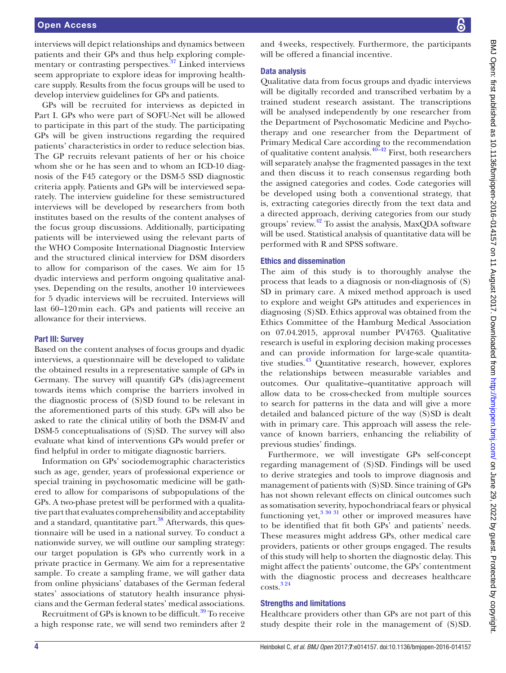### Open Access

interviews will depict relationships and dynamics between patients and their GPs and thus help exploring complementary or contrasting perspectives.<sup>37</sup> Linked interviews seem appropriate to explore ideas for improving healthcare supply. Results from the focus groups will be used to develop interview guidelines for GPs and patients.

GPs will be recruited for interviews as depicted in Part I. GPs who were part of SOFU-Net will be allowed to participate in this part of the study. The participating GPs will be given instructions regarding the required patients' characteristics in order to reduce selection bias. The GP recruits relevant patients of her or his choice whom she or he has seen and to whom an ICD-10 diagnosis of the F45 category or the DSM-5 SSD diagnostic criteria apply. Patients and GPs will be interviewed separately. The interview guideline for these semistructured interviews will be developed by researchers from both institutes based on the results of the content analyses of the focus group discussions. Additionally, participating patients will be interviewed using the relevant parts of the WHO Composite International Diagnostic Interview and the structured clinical interview for DSM disorders to allow for comparison of the cases. We aim for 15 dyadic interviews and perform ongoing qualitative analyses. Depending on the results, another 10 interviewees for 5 dyadic interviews will be recruited. Interviews will last 60–120min each. GPs and patients will receive an allowance for their interviews.

### Part III: Survey

Based on the content analyses of focus groups and dyadic interviews, a questionnaire will be developed to validate the obtained results in a representative sample of GPs in Germany. The survey will quantify GPs (dis)agreement towards items which comprise the barriers involved in the diagnostic process of (S)SD found to be relevant in the aforementioned parts of this study. GPs will also be asked to rate the clinical utility of both the DSM-IV and DSM-5 conceptualisations of (S)SD. The survey will also evaluate what kind of interventions GPs would prefer or find helpful in order to mitigate diagnostic barriers.

Information on GPs' sociodemographic characteristics such as age, gender, years of professional experience or special training in psychosomatic medicine will be gathered to allow for comparisons of subpopulations of the GPs. A two-phase pretest will be performed with a qualitative part that evaluates comprehensibility and acceptability and a standard, quantitative part.<sup>[38](#page-5-9)</sup> Afterwards, this questionnaire will be used in a national survey. To conduct a nationwide survey, we will outline our sampling strategy: our target population is GPs who currently work in a private practice in Germany. We aim for a representative sample. To create a sampling frame, we will gather data from online physicians' databases of the German federal states' associations of statutory health insurance physicians and the German federal states' medical associations.

Recruitment of GPs is known to be difficult.<sup>39</sup> To receive a high response rate, we will send two reminders after 2

and 4weeks, respectively. Furthermore, the participants will be offered a financial incentive.

### Data analysis

Qualitative data from focus groups and dyadic interviews will be digitally recorded and transcribed verbatim by a trained student research assistant. The transcriptions will be analysed independently by one researcher from the Department of Psychosomatic Medicine and Psychotherapy and one researcher from the Department of Primary Medical Care according to the recommendation of qualitative content analysis. $40-42$  First, both researchers will separately analyse the fragmented passages in the text and then discuss it to reach consensus regarding both the assigned categories and codes. Code categories will be developed using both a conventional strategy, that is, extracting categories directly from the text data and a directed approach, deriving categories from our study groups' review.[42](#page-5-12) To assist the analysis, MaxQDA software will be used. Statistical analysis of quantitative data will be performed with R and SPSS software.

### Ethics and dissemination

The aim of this study is to thoroughly analyse the process that leads to a diagnosis or non-diagnosis of (S) SD in primary care. A mixed method approach is used to explore and weight GPs attitudes and experiences in diagnosing (S)SD. Ethics approval was obtained from the Ethics Committee of the Hamburg Medical Association on 07.04.2015, approval number PV4763. Qualitative research is useful in exploring decision making processes and can provide information for large-scale quantitative studies.<sup>43</sup> Quantitative research, however, explores the relationships between measurable variables and outcomes. Our qualitative–quantitative approach will allow data to be cross-checked from multiple sources to search for patterns in the data and will give a more detailed and balanced picture of the way (S)SD is dealt with in primary care. This approach will assess the relevance of known barriers, enhancing the reliability of previous studies' findings.

Furthermore, we will investigate GPs self-concept regarding management of (S)SD. Findings will be used to derive strategies and tools to improve diagnosis and management of patients with (S)SD. Since training of GPs has not shown relevant effects on clinical outcomes such as somatisation severity, hypochondriacal fears or physical functioning yet,  $3^{30}$  31 other or improved measures have to be identified that fit both GPs' and patients' needs. These measures might address GPs, other medical care providers, patients or other groups engaged. The results of this study will help to shorten the diagnostic delay. This might affect the patients' outcome, the GPs' contentment with the diagnostic process and decreases healthcare costs.[3 24](#page-4-1)

### Strengths and limitations

Healthcare providers other than GPs are not part of this study despite their role in the management of (S)SD.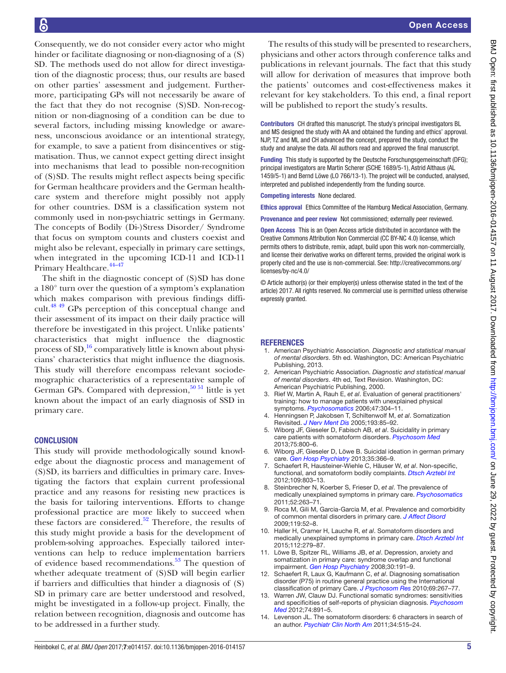Consequently, we do not consider every actor who might hinder or facilitate diagnosing or non-diagnosing of a (S) SD. The methods used do not allow for direct investigation of the diagnostic process; thus, our results are based on other parties' assessment and judgement. Furthermore, participating GPs will not necessarily be aware of the fact that they do not recognise (S)SD. Non-recognition or non-diagnosing of a condition can be due to several factors, including missing knowledge or awareness, unconscious avoidance or an intentional strategy, for example, to save a patient from disincentives or stigmatisation. Thus, we cannot expect getting direct insight into mechanisms that lead to possible non-recognition of (S)SD. The results might reflect aspects being specific for German healthcare providers and the German healthcare system and therefore might possibly not apply for other countries. DSM is a classification system not commonly used in non-psychiatric settings in Germany. The concepts of Bodily (Di-)Stress Disorder/ Syndrome that focus on symptom counts and clusters coexist and might also be relevant, especially in primary care settings, when integrated in the upcoming ICD-11 and ICD-11 Primary Healthcare.  $44-47$ 

The shift in the diagnostic concept of (S)SD has done a 180° turn over the question of a symptom's explanation which makes comparison with previous findings difficult[.48 49](#page-5-15) GPs perception of this conceptual change and their assessment of its impact on their daily practice will therefore be investigated in this project. Unlike patients' characteristics that might influence the diagnostic process of  $SD$ ,<sup>16</sup> comparatively little is known about physicians' characteristics that might influence the diagnosis. This study will therefore encompass relevant sociodemographic characteristics of a representative sample of German GPs. Compared with depression, $50\,51$  little is yet known about the impact of an early diagnosis of SSD in primary care.

### **CONCLUSION**

This study will provide methodologically sound knowledge about the diagnostic process and management of (S)SD, its barriers and difficulties in primary care. Investigating the factors that explain current professional practice and any reasons for resisting new practices is the basis for tailoring interventions. Efforts to change professional practice are more likely to succeed when these factors are considered. $52$  Therefore, the results of this study might provide a basis for the development of problem-solving approaches. Especially tailored interventions can help to reduce implementation barriers of evidence based recommendations.[53](#page-5-19) The question of whether adequate treatment of (S)SD will begin earlier if barriers and difficulties that hinder a diagnosis of (S) SD in primary care are better understood and resolved, might be investigated in a follow-up project. Finally, the relation between recognition, diagnosis and outcome has to be addressed in a further study.

The results of this study will be presented to researchers, physicians and other actors through conference talks and publications in relevant journals. The fact that this study will allow for derivation of measures that improve both the patients' outcomes and cost-effectiveness makes it relevant for key stakeholders. To this end, a final report will be published to report the study's results.

Contributors CH drafted this manuscript. The study's principal investigators BL and MS designed the study with AA and obtained the funding and ethics' approval. NJP, TZ and ML and CH advanced the concept, prepared the study, conduct the study and analyse the data. All authors read and approved the final manuscript.

Funding This study is supported by the Deutsche Forschungsgemeinschaft (DFG); principal investigators are Martin Scherer (SCHE 1689/5-1), Astrid Althaus (AL 1459/5-1) and Bernd Löwe (LO 766/13-1). The project will be conducted, analysed, interpreted and published independently from the funding source.

Competing interests None declared.

Ethics approval Ethics Committee of the Hamburg Medical Association, Germany.

Provenance and peer review Not commissioned; externally peer reviewed.

Open Access This is an Open Access article distributed in accordance with the Creative Commons Attribution Non Commercial (CC BY-NC 4.0) license, which permits others to distribute, remix, adapt, build upon this work non-commercially, and license their derivative works on different terms, provided the original work is properly cited and the use is non-commercial. See: [http://creativecommons.org/](http://creativecommons.org/licenses/by-nc/4.0/) [licenses/by-nc/4.0/](http://creativecommons.org/licenses/by-nc/4.0/)

© Article author(s) (or their employer(s) unless otherwise stated in the text of the article) 2017. All rights reserved. No commercial use is permitted unless otherwise expressly granted.

### **REFERENCES**

- <span id="page-4-0"></span>1. American Psychiatric Association. *Diagnostic and statistical manual of mental disorders*. 5th ed. Washington, DC: American Psychiatric Publishing, 2013.
- 2. American Psychiatric Association. *Diagnostic and statistical manual of mental disorders*. 4th ed, Text Revision. Washington, DC: American Psychiatric Publishing, 2000.
- <span id="page-4-1"></span>3. Rief W, Martin A, Rauh E, *et al*. Evaluation of general practitioners' training: how to manage patients with unexplained physical symptoms. *[Psychosomatics](http://dx.doi.org/10.1176/appi.psy.47.4.304)* 2006;47:304–11.
- 4. Henningsen P, Jakobsen T, Schiltenwolf M, *et al*. Somatization Revisited. *[J Nerv Ment Dis](http://dx.doi.org/10.1097/01.nmd.0000152796.07788.b6)* 2005;193:85–92.
- <span id="page-4-2"></span>5. Wiborg JF, Gieseler D, Fabisch AB, *et al*. Suicidality in primary care patients with somatoform disorders. *[Psychosom Med](http://dx.doi.org/10.1097/PSY.0000000000000013)* 2013;75:800–6.
- 6. Wiborg JF, Gieseler D, Löwe B. Suicidal ideation in german primary care. *[Gen Hosp Psychiatry](http://dx.doi.org/10.1016/j.genhosppsych.2013.02.001)* 2013;35:366–9.
- <span id="page-4-3"></span>7. Schaefert R, Hausteiner-Wiehle C, Häuser W, *et al*. Non-specific, functional, and somatoform bodily complaints. *[Dtsch Arztebl Int](http://dx.doi.org/10.3238/arztebl.2012.0803)* 2012;109:803–13.
- <span id="page-4-4"></span>8. Steinbrecher N, Koerber S, Frieser D, *et al*. The prevalence of medically unexplained symptoms in primary care. *[Psychosomatics](http://dx.doi.org/10.1016/j.psym.2011.01.007)* 2011;52:263–71.
- 9. Roca M, Gili M, Garcia-Garcia M, *et al*. Prevalence and comorbidity of common mental disorders in primary care. *[J Affect Disord](http://dx.doi.org/10.1016/j.jad.2009.03.014)* 2009;119:52–8.
- 10. Haller H, Cramer H, Lauche R, *et al*. Somatoform disorders and medically unexplained symptoms in primary care. *[Dtsch Arztebl Int](http://dx.doi.org/10.3238/arztebl.2015.0279)* 2015;112:279–87.
- <span id="page-4-6"></span>11. Löwe B, Spitzer RL, Williams JB, *et al*. Depression, anxiety and somatization in primary care: syndrome overlap and functional impairment. *[Gen Hosp Psychiatry](http://dx.doi.org/10.1016/j.genhosppsych.2008.01.001)* 2008;30:191–9.
- <span id="page-4-5"></span>12. Schaefert R, Laux G, Kaufmann C, *et al*. Diagnosing somatisation disorder (P75) in routine general practice using the International classification of primary Care. *[J Psychosom Res](http://dx.doi.org/10.1016/j.jpsychores.2010.05.003)* 2010;69:267–77.
- 13. Warren JW, Clauw DJ. Functional somatic syndromes: sensitivities and specificities of self-reports of physician diagnosis. *[Psychosom](http://dx.doi.org/10.1097/PSY.0b013e31827264aa)  [Med](http://dx.doi.org/10.1097/PSY.0b013e31827264aa)* 2012;74:891–5.
- 14. Levenson JL. The somatoform disorders: 6 characters in search of an author. *[Psychiatr Clin North Am](http://dx.doi.org/10.1016/j.psc.2011.05.006)* 2011;34:515–24.